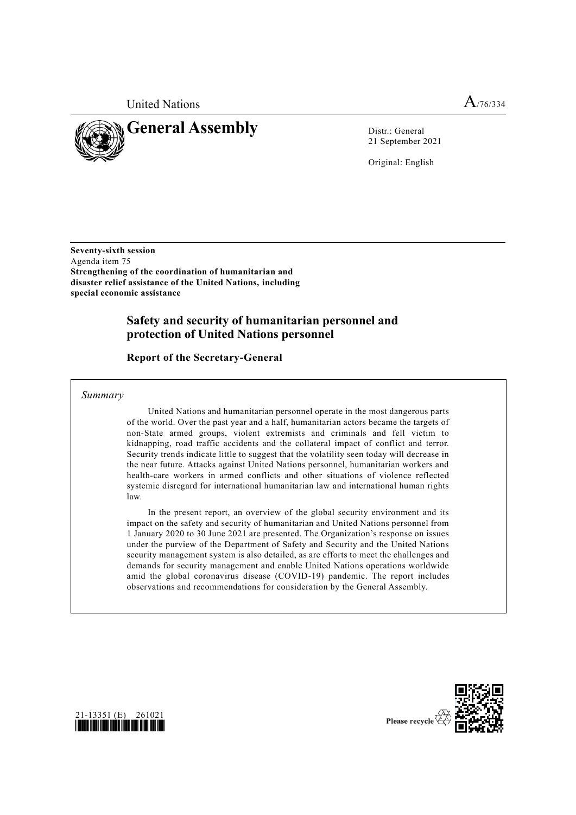

21 September 2021

Original: English

**Seventy-sixth session** Agenda item 75 **Strengthening of the coordination of humanitarian and disaster relief assistance of the United Nations, including special economic assistance**

# **Safety and security of humanitarian personnel and protection of United Nations personnel**

**Report of the Secretary-General**

*Summary*

United Nations and humanitarian personnel operate in the most dangerous parts of the world. Over the past year and a half, humanitarian actors became the targets of non-State armed groups, violent extremists and criminals and fell victim to kidnapping, road traffic accidents and the collateral impact of conflict and terror. Security trends indicate little to suggest that the volatility seen today will decrease in the near future. Attacks against United Nations personnel, humanitarian workers and health-care workers in armed conflicts and other situations of violence reflected systemic disregard for international humanitarian law and international human rights law.

In the present report, an overview of the global security environment and its impact on the safety and security of humanitarian and United Nations personnel from 1 January 2020 to 30 June 2021 are presented. The Organization's response on issues under the purview of the Department of Safety and Security and the United Nations security management system is also detailed, as are efforts to meet the challenges and demands for security management and enable United Nations operations worldwide amid the global coronavirus disease (COVID-19) pandemic. The report includes observations and recommendations for consideration by the General Assembly.



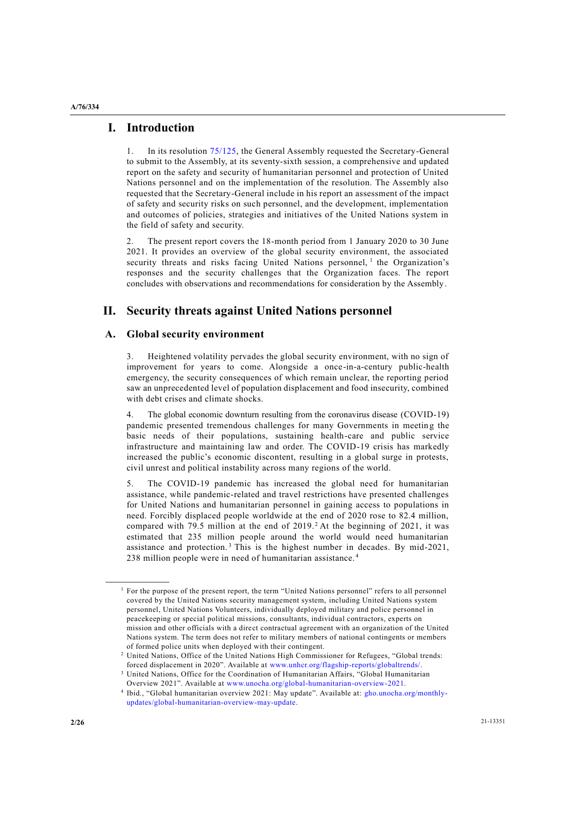**A/76/334**

# **I. Introduction**

1. In its resolution [75/125,](https://undocs.org/en/A/RES/75/125) the General Assembly requested the Secretary-General to submit to the Assembly, at its seventy-sixth session, a comprehensive and updated report on the safety and security of humanitarian personnel and protection of United Nations personnel and on the implementation of the resolution. The Assembly also requested that the Secretary-General include in his report an assessment of the impact of safety and security risks on such personnel, and the development, implementation and outcomes of policies, strategies and initiatives of the United Nations system in the field of safety and security.

2. The present report covers the 18-month period from 1 January 2020 to 30 June 2021. It provides an overview of the global security environment, the associated security threats and risks facing United Nations personnel,  $1$  the Organization's responses and the security challenges that the Organization faces. The report concludes with observations and recommendations for consideration by the Assembly.

# **II. Security threats against United Nations personnel**

# **A. Global security environment**

3. Heightened volatility pervades the global security environment, with no sign of improvement for years to come. Alongside a once-in-a-century public-health emergency, the security consequences of which remain unclear, the reporting period saw an unprecedented level of population displacement and food insecurity, combined with debt crises and climate shocks.

4. The global economic downturn resulting from the coronavirus disease (COVID-19) pandemic presented tremendous challenges for many Governments in meeting the basic needs of their populations, sustaining health-care and public service infrastructure and maintaining law and order. The COVID-19 crisis has markedly increased the public's economic discontent, resulting in a global surge in protests, civil unrest and political instability across many regions of the world.

5. The COVID-19 pandemic has increased the global need for humanitarian assistance, while pandemic-related and travel restrictions have presented challenges for United Nations and humanitarian personnel in gaining access to populations in need. Forcibly displaced people worldwide at the end of 2020 rose to 82.4 million, compared with 79.5 million at the end of 2019.<sup>2</sup> At the beginning of 2021, it was estimated that 235 million people around the world would need humanitarian assistance and protection.<sup>3</sup> This is the highest number in decades. By mid-2021, 238 million people were in need of humanitarian assistance. <sup>4</sup>

**\_\_\_\_\_\_\_\_\_\_\_\_\_\_\_\_\_\_**

<sup>&</sup>lt;sup>1</sup> For the purpose of the present report, the term "United Nations personnel" refers to all personnel covered by the United Nations security management system, including United Nations system personnel, United Nations Volunteers, individually deployed military and police personnel in peacekeeping or special political missions, consultants, individual contractors, experts on mission and other officials with a direct contractual agreement with an organization of the United Nations system. The term does not refer to military members of national contingents or members of formed police units when deployed with their contingent.

<sup>2</sup> United Nations, Office of the United Nations High Commissioner for Refugees, "Global trends: forced displacement in 2020". Available at [www.unhcr.org/flagship-reports/globaltrends/.](http://www.unhcr.org/flagship-reports/globaltrends/)

<sup>3</sup> United Nations, Office for the Coordination of Humanitarian Affairs, "Global Humanitarian Overview 2021". Available at [www.unocha.org/global-humanitarian-overview-2021.](http://www.unocha.org/global-humanitarian-overview-2021)

<sup>4</sup> Ibid., "Global humanitarian overview 2021: May update". Available at: [gho.unocha.org/monthly](http://gho.unocha.org/monthly-updates/global-humanitarian-overview-may-update)[updates/global-humanitarian-overview-may-update.](http://gho.unocha.org/monthly-updates/global-humanitarian-overview-may-update)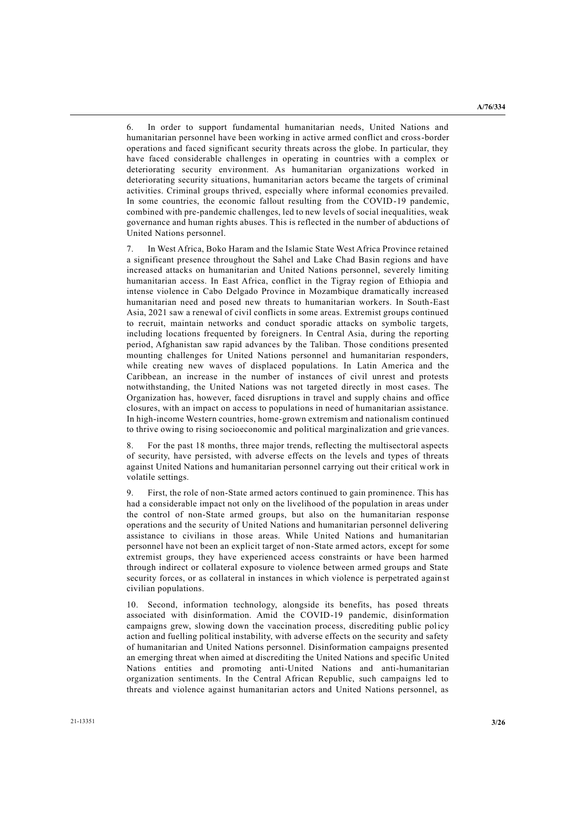6. In order to support fundamental humanitarian needs, United Nations and humanitarian personnel have been working in active armed conflict and cross-border operations and faced significant security threats across the globe. In particular, they have faced considerable challenges in operating in countries with a complex or deteriorating security environment. As humanitarian organizations worked in deteriorating security situations, humanitarian actors became the targets of criminal activities. Criminal groups thrived, especially where informal economies prevailed. In some countries, the economic fallout resulting from the COVID-19 pandemic, combined with pre-pandemic challenges, led to new levels of social inequalities, weak governance and human rights abuses. This is reflected in the number of abductions of United Nations personnel.

7. In West Africa, Boko Haram and the Islamic State West Africa Province retained a significant presence throughout the Sahel and Lake Chad Basin regions and have increased attacks on humanitarian and United Nations personnel, severely limiting humanitarian access. In East Africa, conflict in the Tigray region of Ethiopia and intense violence in Cabo Delgado Province in Mozambique dramatically increased humanitarian need and posed new threats to humanitarian workers. In South-East Asia, 2021 saw a renewal of civil conflicts in some areas. Extremist groups continued to recruit, maintain networks and conduct sporadic attacks on symbolic targets, including locations frequented by foreigners. In Central Asia, during the reporting period, Afghanistan saw rapid advances by the Taliban. Those conditions presented mounting challenges for United Nations personnel and humanitarian responders, while creating new waves of displaced populations. In Latin America and the Caribbean, an increase in the number of instances of civil unrest and protests notwithstanding, the United Nations was not targeted directly in most cases. The Organization has, however, faced disruptions in travel and supply chains and office closures, with an impact on access to populations in need of humanitarian assistance. In high-income Western countries, home-grown extremism and nationalism continued to thrive owing to rising socioeconomic and political marginalization and grie vances.

8. For the past 18 months, three major trends, reflecting the multisectoral aspects of security, have persisted, with adverse effects on the levels and types of threats against United Nations and humanitarian personnel carrying out their critical work in volatile settings.

First, the role of non-State armed actors continued to gain prominence. This has had a considerable impact not only on the livelihood of the population in areas under the control of non-State armed groups, but also on the humanitarian response operations and the security of United Nations and humanitarian personnel delivering assistance to civilians in those areas. While United Nations and humanitarian personnel have not been an explicit target of non-State armed actors, except for some extremist groups, they have experienced access constraints or have been harmed through indirect or collateral exposure to violence between armed groups and State security forces, or as collateral in instances in which violence is perpetrated again st civilian populations.

10. Second, information technology, alongside its benefits, has posed threats associated with disinformation. Amid the COVID-19 pandemic, disinformation campaigns grew, slowing down the vaccination process, discrediting public policy action and fuelling political instability, with adverse effects on the security and safety of humanitarian and United Nations personnel. Disinformation campaigns presented an emerging threat when aimed at discrediting the United Nations and specific United Nations entities and promoting anti-United Nations and anti-humanitarian organization sentiments. In the Central African Republic, such campaigns led to threats and violence against humanitarian actors and United Nations personnel, as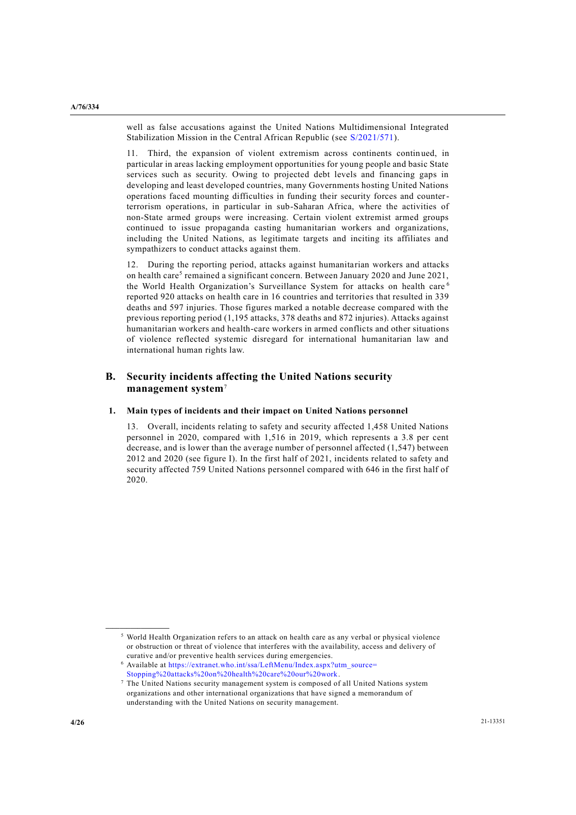well as false accusations against the United Nations Multidimensional Integrated Stabilization Mission in the Central African Republic (see [S/2021/571\)](https://undocs.org/en/S/2021/571).

11. Third, the expansion of violent extremism across continents continued, in particular in areas lacking employment opportunities for young people and basic State services such as security. Owing to projected debt levels and financing gaps in developing and least developed countries, many Governments hosting United Nations operations faced mounting difficulties in funding their security forces and counterterrorism operations, in particular in sub-Saharan Africa, where the activities of non-State armed groups were increasing. Certain violent extremist armed groups continued to issue propaganda casting humanitarian workers and organizations, including the United Nations, as legitimate targets and inciting its affiliates and sympathizers to conduct attacks against them.

12. During the reporting period, attacks against humanitarian workers and attacks on health care<sup>5</sup> remained a significant concern. Between January 2020 and June 2021, the World Health Organization's Surveillance System for attacks on health care<sup>6</sup> reported 920 attacks on health care in 16 countries and territories that resulted in 339 deaths and 597 injuries. Those figures marked a notable decrease compared with the previous reporting period (1,195 attacks, 378 deaths and 872 injuries). Attacks against humanitarian workers and health-care workers in armed conflicts and other situations of violence reflected systemic disregard for international humanitarian law and international human rights law.

# **B. Security incidents affecting the United Nations security management system**<sup>7</sup>

## **1. Main types of incidents and their impact on United Nations personnel**

13. Overall, incidents relating to safety and security affected 1,458 United Nations personnel in 2020, compared with 1,516 in 2019, which represents a 3.8 per cent decrease, and is lower than the average number of personnel affected (1,547) between 2012 and 2020 (see figure I). In the first half of 2021, incidents related to safety and security affected 759 United Nations personnel compared with 646 in the first half of 2020.

**\_\_\_\_\_\_\_\_\_\_\_\_\_\_\_\_\_\_**

<sup>5</sup> World Health Organization refers to an attack on health care as any verbal or physical violence or obstruction or threat of violence that interferes with the availability, access and delivery of curative and/or preventive health services during emergencies.

<sup>6</sup> Available at [https://extranet.who.int/ssa/LeftMenu/Index.aspx?utm\\_source=](https://extranet.who.int/ssa/LeftMenu/Index.aspx?utm_source=Stopping%20attacks%20on%20health%20care%20our%20work) [Stopping%20attacks%20on%20health%20care%20our%20work.](https://extranet.who.int/ssa/LeftMenu/Index.aspx?utm_source=Stopping%20attacks%20on%20health%20care%20our%20work)

<sup>7</sup> The United Nations security management system is composed of all United Nations system organizations and other international organizations that have signed a memorandum of understanding with the United Nations on security management.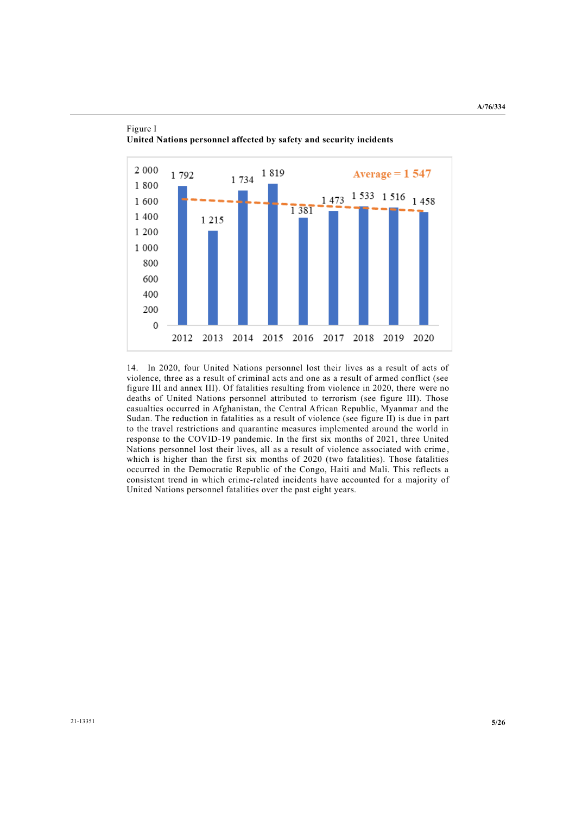

Figure I **United Nations personnel affected by safety and security incidents**

14. In 2020, four United Nations personnel lost their lives as a result of acts of violence, three as a result of criminal acts and one as a result of armed conflict (see figure III and annex III). Of fatalities resulting from violence in 2020, there were no deaths of United Nations personnel attributed to terrorism (see figure III). Those casualties occurred in Afghanistan, the Central African Republic, Myanmar and the Sudan. The reduction in fatalities as a result of violence (see figure II) is due in part to the travel restrictions and quarantine measures implemented around the world in response to the COVID-19 pandemic. In the first six months of 2021, three United Nations personnel lost their lives, all as a result of violence associated with crime , which is higher than the first six months of 2020 (two fatalities). Those fatalities occurred in the Democratic Republic of the Congo, Haiti and Mali. This reflects a consistent trend in which crime-related incidents have accounted for a majority of United Nations personnel fatalities over the past eight years.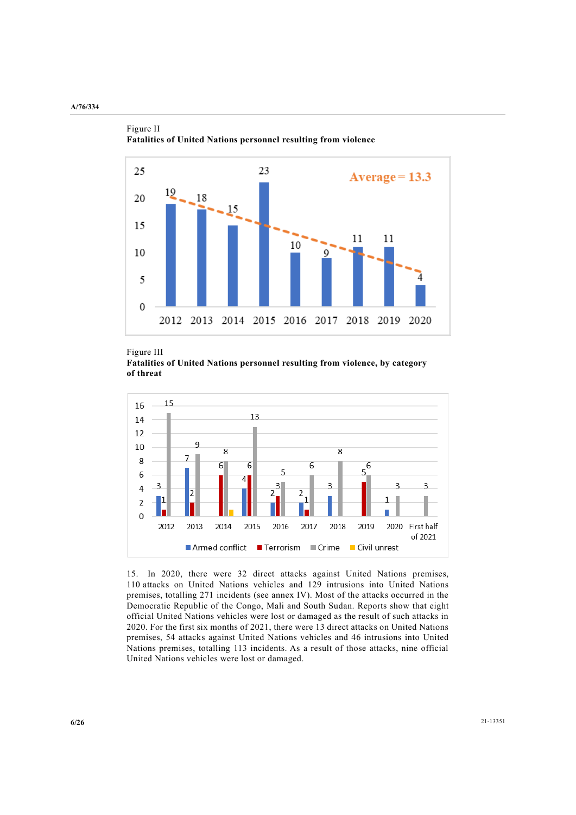

Figure II **Fatalities of United Nations personnel resulting from violence**

Figure III **Fatalities of United Nations personnel resulting from violence, by category of threat** 



15. In 2020, there were 32 direct attacks against United Nations premises, 110 attacks on United Nations vehicles and 129 intrusions into United Nations premises, totalling 271 incidents (see annex IV). Most of the attacks occurred in the Democratic Republic of the Congo, Mali and South Sudan. Reports show that eight official United Nations vehicles were lost or damaged as the result of such attacks in 2020. For the first six months of 2021, there were 13 direct attacks on United Nations premises, 54 attacks against United Nations vehicles and 46 intrusions into United Nations premises, totalling 113 incidents. As a result of those attacks, nine official United Nations vehicles were lost or damaged.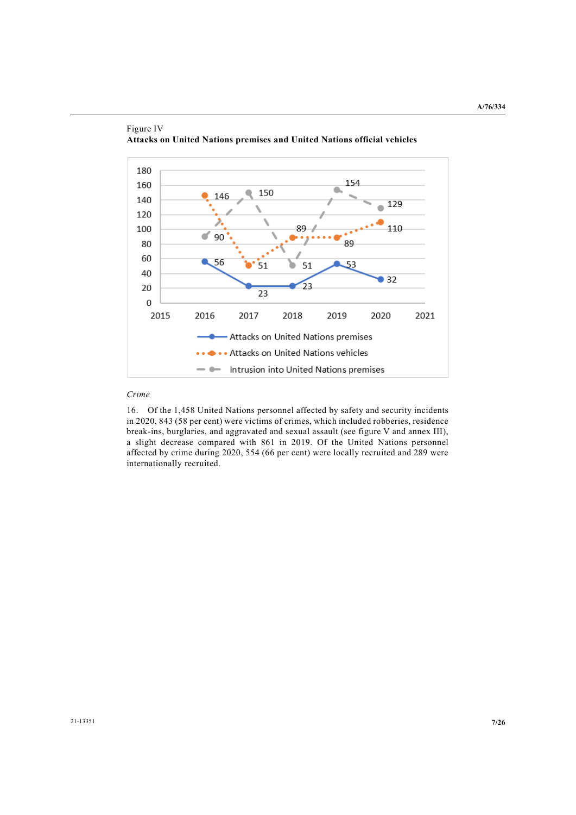

## Figure IV **Attacks on United Nations premises and United Nations official vehicles**

## *Crime*

16. Of the 1,458 United Nations personnel affected by safety and security incidents in 2020, 843 (58 per cent) were victims of crimes, which included robberies, residence break-ins, burglaries, and aggravated and sexual assault (see figure V and annex III), a slight decrease compared with 861 in 2019. Of the United Nations personnel affected by crime during 2020, 554 (66 per cent) were locally recruited and 289 were internationally recruited.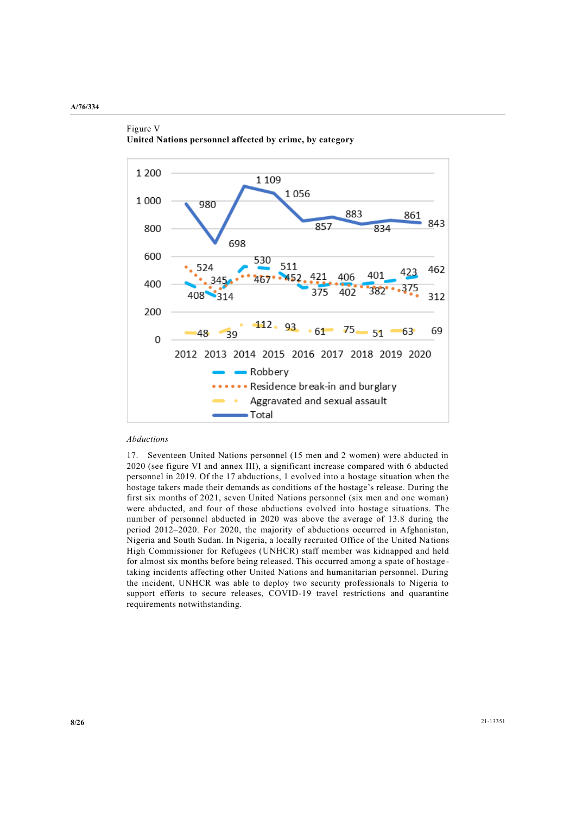



## *Abductions*

17. Seventeen United Nations personnel (15 men and 2 women) were abducted in 2020 (see figure VI and annex III), a significant increase compared with 6 abducted personnel in 2019. Of the 17 abductions, 1 evolved into a hostage situation when the hostage takers made their demands as conditions of the hostage's release. During the first six months of 2021, seven United Nations personnel (six men and one woman) were abducted, and four of those abductions evolved into hostage situations. The number of personnel abducted in 2020 was above the average of 13.8 during the period 2012–2020. For 2020, the majority of abductions occurred in Afghanistan, Nigeria and South Sudan. In Nigeria, a locally recruited Office of the United Na tions High Commissioner for Refugees (UNHCR) staff member was kidnapped and held for almost six months before being released. This occurred among a spate of hostage taking incidents affecting other United Nations and humanitarian personnel. During the incident, UNHCR was able to deploy two security professionals to Nigeria to support efforts to secure releases, COVID-19 travel restrictions and quarantine requirements notwithstanding.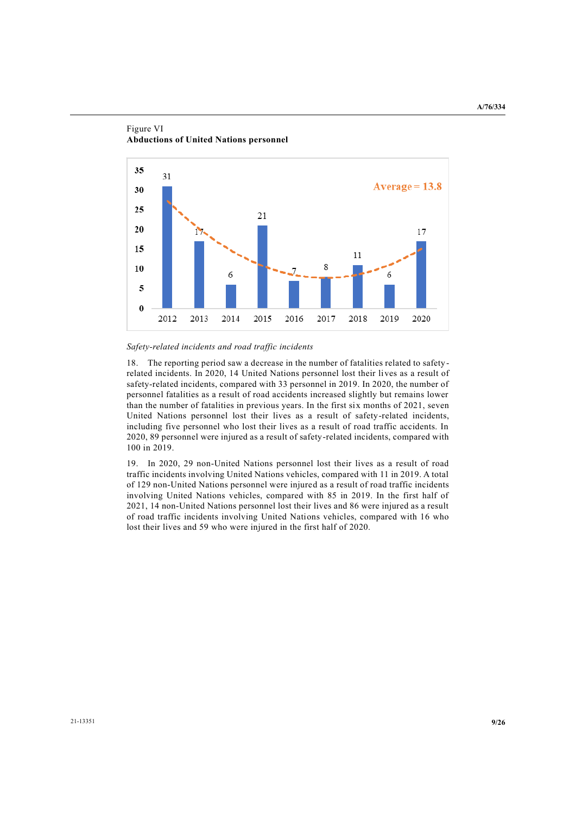

#### Figure VI **Abductions of United Nations personnel**

#### *Safety-related incidents and road traffic incidents*

18. The reporting period saw a decrease in the number of fatalities related to safety related incidents. In 2020, 14 United Nations personnel lost their lives as a result of safety-related incidents, compared with 33 personnel in 2019. In 2020, the number of personnel fatalities as a result of road accidents increased slightly but remains lower than the number of fatalities in previous years. In the first six months of 2021, seven United Nations personnel lost their lives as a result of safety-related incidents, including five personnel who lost their lives as a result of road traffic accidents. In 2020, 89 personnel were injured as a result of safety-related incidents, compared with 100 in 2019.

19. In 2020, 29 non-United Nations personnel lost their lives as a result of road traffic incidents involving United Nations vehicles, compared with 11 in 2019. A total of 129 non-United Nations personnel were injured as a result of road traffic incidents involving United Nations vehicles, compared with 85 in 2019. In the first half of 2021, 14 non-United Nations personnel lost their lives and 86 were injured as a result of road traffic incidents involving United Nations vehicles, compared with 16 who lost their lives and 59 who were injured in the first half of 2020.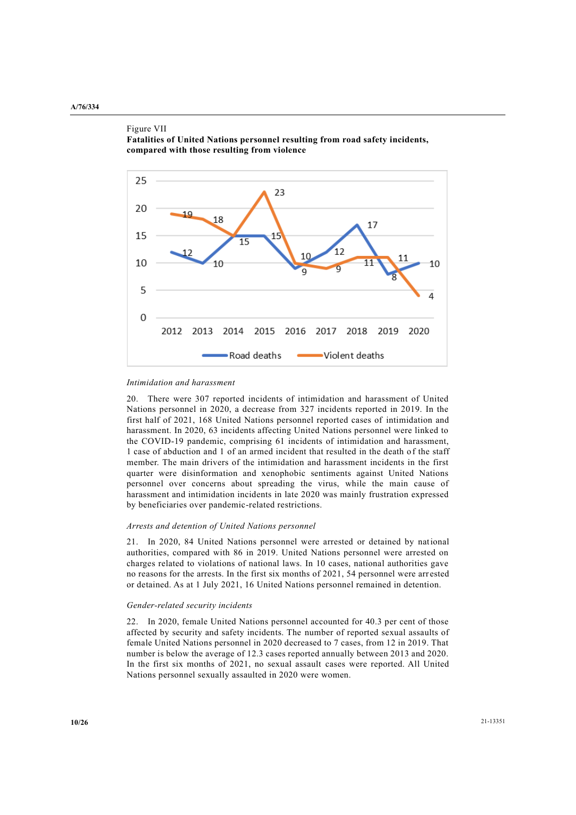Figure VII



**Fatalities of United Nations personnel resulting from road safety incidents, compared with those resulting from violence**

#### *Intimidation and harassment*

20. There were 307 reported incidents of intimidation and harassment of United Nations personnel in 2020, a decrease from 327 incidents reported in 2019. In the first half of 2021, 168 United Nations personnel reported cases of intimidation and harassment. In 2020, 63 incidents affecting United Nations personnel were linked to the COVID-19 pandemic, comprising 61 incidents of intimidation and harassment, 1 case of abduction and 1 of an armed incident that resulted in the death o f the staff member. The main drivers of the intimidation and harassment incidents in the first quarter were disinformation and xenophobic sentiments against United Nations personnel over concerns about spreading the virus, while the main cause of harassment and intimidation incidents in late 2020 was mainly frustration expressed by beneficiaries over pandemic-related restrictions.

#### *Arrests and detention of United Nations personnel*

21. In 2020, 84 United Nations personnel were arrested or detained by national authorities, compared with 86 in 2019. United Nations personnel were arrested on charges related to violations of national laws. In 10 cases, national authorities gave no reasons for the arrests. In the first six months of 2021, 54 personnel were arr ested or detained. As at 1 July 2021, 16 United Nations personnel remained in detention.

#### *Gender-related security incidents*

22. In 2020, female United Nations personnel accounted for 40.3 per cent of those affected by security and safety incidents. The number of reported sexual assaults of female United Nations personnel in 2020 decreased to 7 cases, from 12 in 2019. That number is below the average of 12.3 cases reported annually between 2013 and 2020. In the first six months of 2021, no sexual assault cases were reported. All United Nations personnel sexually assaulted in 2020 were women.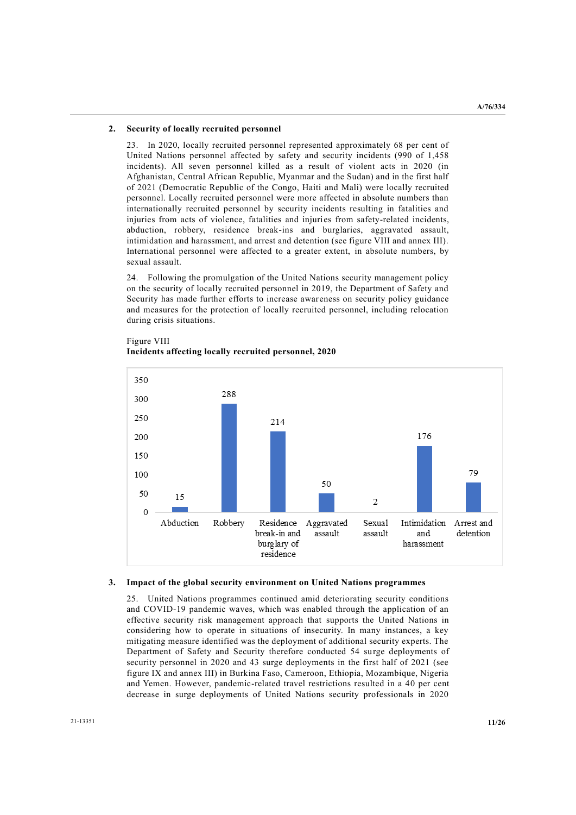#### **2. Security of locally recruited personnel**

23. In 2020, locally recruited personnel represented approximately 68 per cent of United Nations personnel affected by safety and security incidents (990 of 1,458 incidents). All seven personnel killed as a result of violent acts in 2020 (in Afghanistan, Central African Republic, Myanmar and the Sudan) and in the first half of 2021 (Democratic Republic of the Congo, Haiti and Mali) were locally recruited personnel. Locally recruited personnel were more affected in absolute numbers than internationally recruited personnel by security incidents resulting in fatalities and injuries from acts of violence, fatalities and injuries from safety-related incidents, abduction, robbery, residence break-ins and burglaries, aggravated assault, intimidation and harassment, and arrest and detention (see figure VIII and annex III). International personnel were affected to a greater extent, in absolute numbers, by sexual assault.

24. Following the promulgation of the United Nations security management policy on the security of locally recruited personnel in 2019, the Department of Safety and Security has made further efforts to increase awareness on security policy guidance and measures for the protection of locally recruited personnel, including relocation during crisis situations.



# Figure VIII **Incidents affecting locally recruited personnel, 2020**

#### **3. Impact of the global security environment on United Nations programmes**

25. United Nations programmes continued amid deteriorating security conditions and COVID-19 pandemic waves, which was enabled through the application of an effective security risk management approach that supports the United Nations in considering how to operate in situations of insecurity. In many instances, a key mitigating measure identified was the deployment of additional security experts. The Department of Safety and Security therefore conducted 54 surge deployments of security personnel in 2020 and 43 surge deployments in the first half of 2021 (see figure IX and annex III) in Burkina Faso, Cameroon, Ethiopia, Mozambique, Nigeria and Yemen. However, pandemic-related travel restrictions resulted in a 40 per cent decrease in surge deployments of United Nations security professionals in 2020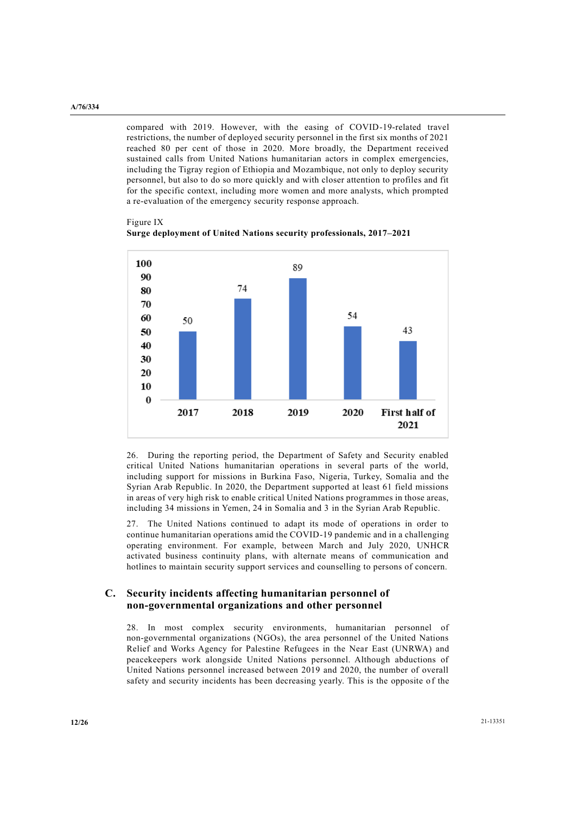compared with 2019. However, with the easing of COVID-19-related travel restrictions, the number of deployed security personnel in the first six months of 2021 reached 80 per cent of those in 2020. More broadly, the Department received sustained calls from United Nations humanitarian actors in complex emergencies, including the Tigray region of Ethiopia and Mozambique, not only to deploy security personnel, but also to do so more quickly and with closer attention to profiles and fit for the specific context, including more women and more analysts, which prompted a re-evaluation of the emergency security response approach.

Figure IX **Surge deployment of United Nations security professionals, 2017–2021**



26. During the reporting period, the Department of Safety and Security enabled critical United Nations humanitarian operations in several parts of the world, including support for missions in Burkina Faso, Nigeria, Turkey, Somalia and the Syrian Arab Republic. In 2020, the Department supported at least 61 field missions in areas of very high risk to enable critical United Nations programmes in those areas, including 34 missions in Yemen, 24 in Somalia and 3 in the Syrian Arab Republic.

27. The United Nations continued to adapt its mode of operations in order to continue humanitarian operations amid the COVID-19 pandemic and in a challenging operating environment. For example, between March and July 2020, UNHCR activated business continuity plans, with alternate means of communication and hotlines to maintain security support services and counselling to persons of concern.

# **C. Security incidents affecting humanitarian personnel of non-governmental organizations and other personnel**

28. In most complex security environments, humanitarian personnel of non-governmental organizations (NGOs), the area personnel of the United Nations Relief and Works Agency for Palestine Refugees in the Near East (UNRWA) and peacekeepers work alongside United Nations personnel. Although abductions of United Nations personnel increased between 2019 and 2020, the number of overall safety and security incidents has been decreasing yearly. This is the opposite of the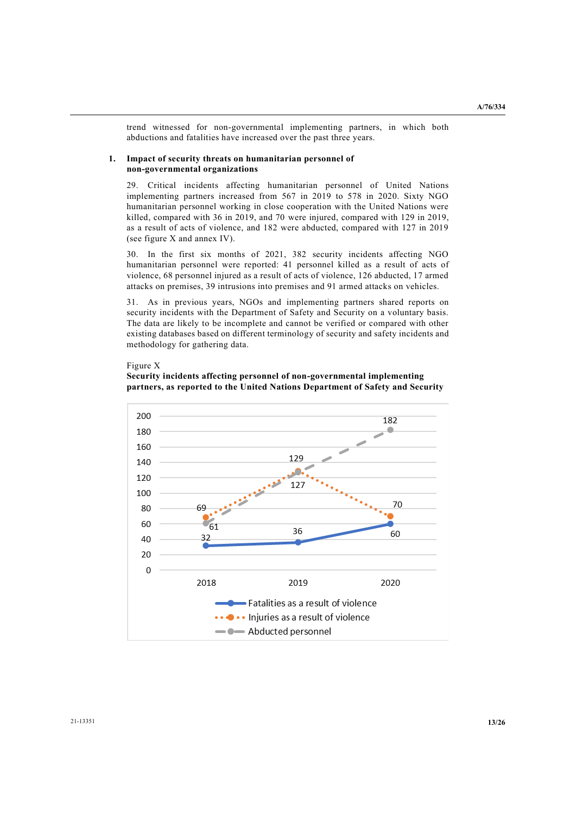trend witnessed for non-governmental implementing partners, in which both abductions and fatalities have increased over the past three years.

## **1. Impact of security threats on humanitarian personnel of non-governmental organizations**

29. Critical incidents affecting humanitarian personnel of United Nations implementing partners increased from 567 in 2019 to 578 in 2020. Sixty NGO humanitarian personnel working in close cooperation with the United Nations were killed, compared with 36 in 2019, and 70 were injured, compared with 129 in 2019, as a result of acts of violence, and 182 were abducted, compared with 127 in 2019 (see figure X and annex IV).

30. In the first six months of 2021, 382 security incidents affecting NGO humanitarian personnel were reported: 41 personnel killed as a result of acts of violence, 68 personnel injured as a result of acts of violence, 126 abducted, 17 armed attacks on premises, 39 intrusions into premises and 91 armed attacks on vehicles.

31. As in previous years, NGOs and implementing partners shared reports on security incidents with the Department of Safety and Security on a voluntary basis. The data are likely to be incomplete and cannot be verified or compared with other existing databases based on different terminology of security and safety incidents and methodology for gathering data.

#### Figure X

# **Security incidents affecting personnel of non-governmental implementing partners, as reported to the United Nations Department of Safety and Security**

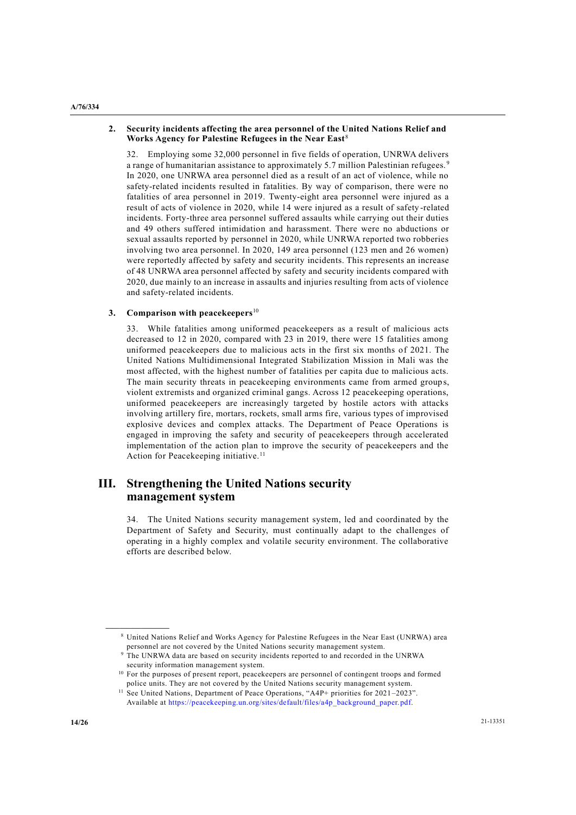#### **A/76/334**

## **2. Security incidents affecting the area personnel of the United Nations Relief and Works Agency for Palestine Refugees in the Near East**<sup>8</sup>

32. Employing some 32,000 personnel in five fields of operation, UNRWA delivers a range of humanitarian assistance to approximately 5.7 million Palestinian refugees.<sup>9</sup> In 2020, one UNRWA area personnel died as a result of an act of violence, while no safety-related incidents resulted in fatalities. By way of comparison, there were no fatalities of area personnel in 2019. Twenty-eight area personnel were injured as a result of acts of violence in 2020, while 14 were injured as a result of safety -related incidents. Forty-three area personnel suffered assaults while carrying out their duties and 49 others suffered intimidation and harassment. There were no abductions or sexual assaults reported by personnel in 2020, while UNRWA reported two robberies involving two area personnel. In 2020, 149 area personnel (123 men and 26 women) were reportedly affected by safety and security incidents. This represents an increase of 48 UNRWA area personnel affected by safety and security incidents compared with 2020, due mainly to an increase in assaults and injuries resulting from acts of violence and safety-related incidents.

## **3. Comparison with peacekeepers**<sup>10</sup>

33. While fatalities among uniformed peacekeepers as a result of malicious acts decreased to 12 in 2020, compared with 23 in 2019, there were 15 fatalities among uniformed peacekeepers due to malicious acts in the first six months of 2021. The United Nations Multidimensional Integrated Stabilization Mission in Mali was the most affected, with the highest number of fatalities per capita due to malicious acts. The main security threats in peacekeeping environments came from armed groups, violent extremists and organized criminal gangs. Across 12 peacekeeping operations, uniformed peacekeepers are increasingly targeted by hostile actors with attacks involving artillery fire, mortars, rockets, small arms fire, various types of improvised explosive devices and complex attacks. The Department of Peace Operations is engaged in improving the safety and security of peacekeepers through accelerated implementation of the action plan to improve the security of peacekeepers and the Action for Peacekeeping initiative.<sup>11</sup>

# **III. Strengthening the United Nations security management system**

34. The United Nations security management system, led and coordinated by the Department of Safety and Security, must continually adapt to the challenges of operating in a highly complex and volatile security environment. The collaborative efforts are described below.

**\_\_\_\_\_\_\_\_\_\_\_\_\_\_\_\_\_\_**

<sup>8</sup> United Nations Relief and Works Agency for Palestine Refugees in the Near East (UNRWA) area personnel are not covered by the United Nations security management system.

<sup>&</sup>lt;sup>9</sup> The UNRWA data are based on security incidents reported to and recorded in the UNRWA security information management system.

<sup>&</sup>lt;sup>10</sup> For the purposes of present report, peacekeepers are personnel of contingent troops and formed police units. They are not covered by the United Nations security management system.

<sup>&</sup>lt;sup>11</sup> See United Nations, Department of Peace Operations, "A4P+ priorities for 2021–2023". Available at [https://peacekeeping.un.org/sites/default/files/a4p\\_background\\_paper.pdf.](https://peacekeeping.un.org/sites/default/files/a4p_background_paper.pdf)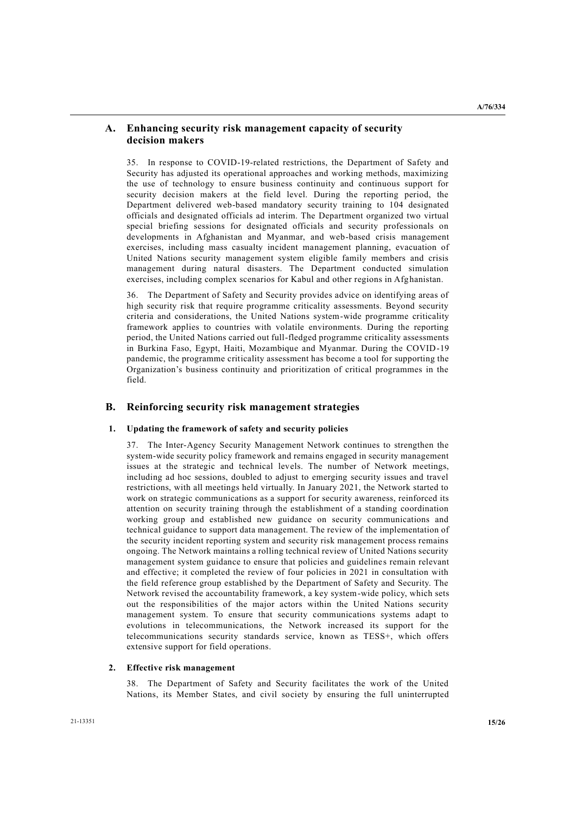## **A. Enhancing security risk management capacity of security decision makers**

35. In response to COVID-19-related restrictions, the Department of Safety and Security has adjusted its operational approaches and working methods, maximizing the use of technology to ensure business continuity and continuous support for security decision makers at the field level. During the reporting period, the Department delivered web-based mandatory security training to 104 designated officials and designated officials ad interim. The Department organized two virtual special briefing sessions for designated officials and security professionals on developments in Afghanistan and Myanmar, and web-based crisis management exercises, including mass casualty incident management planning, evacuation of United Nations security management system eligible family members and crisis management during natural disasters. The Department conducted simulation exercises, including complex scenarios for Kabul and other regions in Afghanistan.

36. The Department of Safety and Security provides advice on identifying areas of high security risk that require programme criticality assessments. Beyond security criteria and considerations, the United Nations system-wide programme criticality framework applies to countries with volatile environments. During the reporting period, the United Nations carried out full-fledged programme criticality assessments in Burkina Faso, Egypt, Haiti, Mozambique and Myanmar. During the COVID-19 pandemic, the programme criticality assessment has become a tool for supporting the Organization's business continuity and prioritization of critical programmes in the field.

# **B. Reinforcing security risk management strategies**

#### **1. Updating the framework of safety and security policies**

37. The Inter-Agency Security Management Network continues to strengthen the system-wide security policy framework and remains engaged in security management issues at the strategic and technical levels. The number of Network meetings, including ad hoc sessions, doubled to adjust to emerging security issues and travel restrictions, with all meetings held virtually. In January 2021, the Network started to work on strategic communications as a support for security awareness, reinforced its attention on security training through the establishment of a standing coordination working group and established new guidance on security communications and technical guidance to support data management. The review of the implementation of the security incident reporting system and security risk management process remains ongoing. The Network maintains a rolling technical review of United Nations security management system guidance to ensure that policies and guideline s remain relevant and effective; it completed the review of four policies in 2021 in consultation with the field reference group established by the Department of Safety and Security. The Network revised the accountability framework, a key system-wide policy, which sets out the responsibilities of the major actors within the United Nations security management system. To ensure that security communications systems adapt to evolutions in telecommunications, the Network increased its support for the telecommunications security standards service, known as TESS+, which offers extensive support for field operations.

#### **2. Effective risk management**

38. The Department of Safety and Security facilitates the work of the United Nations, its Member States, and civil society by ensuring the full uninterrupted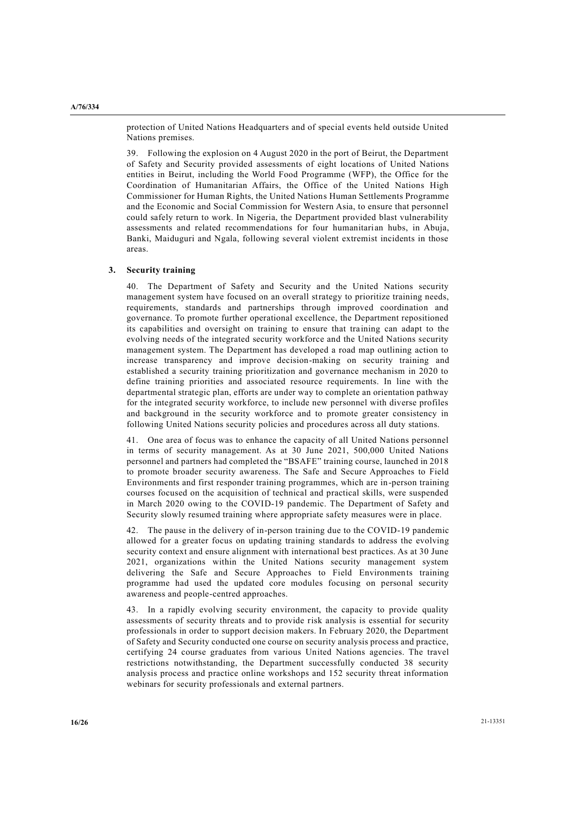protection of United Nations Headquarters and of special events held outside United Nations premises.

39. Following the explosion on 4 August 2020 in the port of Beirut, the Department of Safety and Security provided assessments of eight locations of United Nations entities in Beirut, including the World Food Programme (WFP), the Office for the Coordination of Humanitarian Affairs, the Office of the United Nations High Commissioner for Human Rights, the United Nations Human Settlements Programme and the Economic and Social Commission for Western Asia, to ensure that personnel could safely return to work. In Nigeria, the Department provided blast vulnerability assessments and related recommendations for four humanitarian hubs, in Abuja, Banki, Maiduguri and Ngala, following several violent extremist incidents in those areas.

## **3. Security training**

40. The Department of Safety and Security and the United Nations security management system have focused on an overall strategy to prioritize training needs, requirements, standards and partnerships through improved coordination and governance. To promote further operational excellence, the Department repositioned its capabilities and oversight on training to ensure that training can adapt to the evolving needs of the integrated security workforce and the United Nations security management system. The Department has developed a road map outlining action to increase transparency and improve decision-making on security training and established a security training prioritization and governance mechanism in 2020 to define training priorities and associated resource requirements. In line with the departmental strategic plan, efforts are under way to complete an orientation pathway for the integrated security workforce, to include new personnel with diverse profiles and background in the security workforce and to promote greater consistency in following United Nations security policies and procedures across all duty stations.

41. One area of focus was to enhance the capacity of all United Nations personnel in terms of security management. As at 30 June 2021, 500,000 United Nations personnel and partners had completed the "BSAFE" training course, launched in 2018 to promote broader security awareness. The Safe and Secure Approaches to Field Environments and first responder training programmes, which are in-person training courses focused on the acquisition of technical and practical skills, were suspended in March 2020 owing to the COVID-19 pandemic. The Department of Safety and Security slowly resumed training where appropriate safety measures were in place.

42. The pause in the delivery of in-person training due to the COVID-19 pandemic allowed for a greater focus on updating training standards to address the evolving security context and ensure alignment with international best practices. As at 30 June 2021, organizations within the United Nations security management system delivering the Safe and Secure Approaches to Field Environments training programme had used the updated core modules focusing on personal security awareness and people-centred approaches.

43. In a rapidly evolving security environment, the capacity to provide quality assessments of security threats and to provide risk analysis is essential for security professionals in order to support decision makers. In February 2020, the Department of Safety and Security conducted one course on security analysis process and practice, certifying 24 course graduates from various United Nations agencies. The travel restrictions notwithstanding, the Department successfully conducted 38 security analysis process and practice online workshops and 152 security threat information webinars for security professionals and external partners.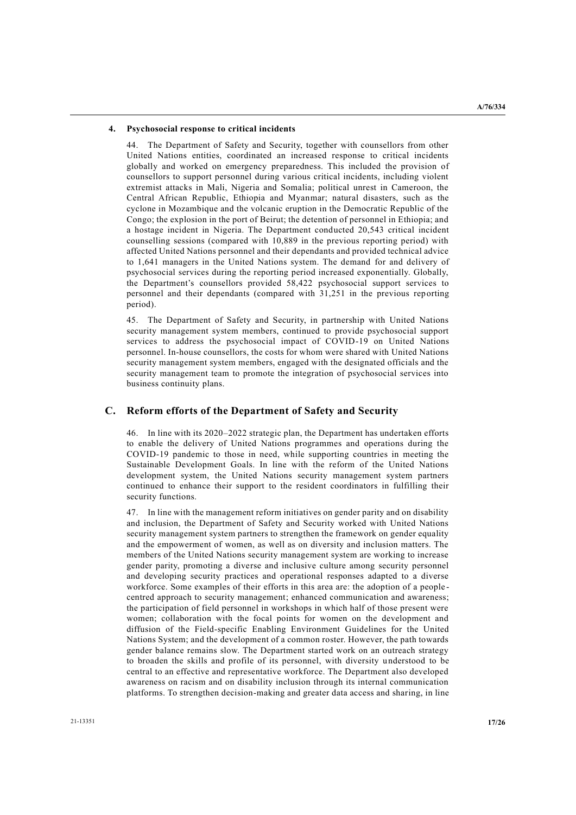## **4. Psychosocial response to critical incidents**

44. The Department of Safety and Security, together with counsellors from other United Nations entities, coordinated an increased response to critical incidents globally and worked on emergency preparedness. This included the provision of counsellors to support personnel during various critical incidents, including violent extremist attacks in Mali, Nigeria and Somalia; political unrest in Cameroon, the Central African Republic, Ethiopia and Myanmar; natural disasters, such as the cyclone in Mozambique and the volcanic eruption in the Democratic Republic of the Congo; the explosion in the port of Beirut; the detention of personnel in Ethiopia; and a hostage incident in Nigeria. The Department conducted 20,543 critical incident counselling sessions (compared with 10,889 in the previous reporting period) with affected United Nations personnel and their dependants and provided technical advice to 1,641 managers in the United Nations system. The demand for and delivery of psychosocial services during the reporting period increased exponentially. Globally, the Department's counsellors provided 58,422 psychosocial support services to personnel and their dependants (compared with 31,251 in the previous rep orting period).

45. The Department of Safety and Security, in partnership with United Nations security management system members, continued to provide psychosocial support services to address the psychosocial impact of COVID-19 on United Nations personnel. In-house counsellors, the costs for whom were shared with United Nations security management system members, engaged with the designated officials and the security management team to promote the integration of psychosocial services into business continuity plans.

# **C. Reform efforts of the Department of Safety and Security**

46. In line with its 2020–2022 strategic plan, the Department has undertaken efforts to enable the delivery of United Nations programmes and operations during the COVID-19 pandemic to those in need, while supporting countries in meeting the Sustainable Development Goals. In line with the reform of the United Nations development system, the United Nations security management system partners continued to enhance their support to the resident coordinators in fulfilling their security functions.

47. In line with the management reform initiatives on gender parity and on disability and inclusion, the Department of Safety and Security worked with United Nations security management system partners to strengthen the framework on gender equality and the empowerment of women, as well as on diversity and inclusion matters. The members of the United Nations security management system are working to increase gender parity, promoting a diverse and inclusive culture among security personnel and developing security practices and operational responses adapted to a diverse workforce. Some examples of their efforts in this area are: the adoption of a people centred approach to security management; enhanced communication and awareness; the participation of field personnel in workshops in which half of those present were women; collaboration with the focal points for women on the development and diffusion of the Field-specific Enabling Environment Guidelines for the United Nations System; and the development of a common roster. However, the path towards gender balance remains slow. The Department started work on an outreach strategy to broaden the skills and profile of its personnel, with diversity understood to be central to an effective and representative workforce. The Department also developed awareness on racism and on disability inclusion through its internal communication platforms. To strengthen decision-making and greater data access and sharing, in line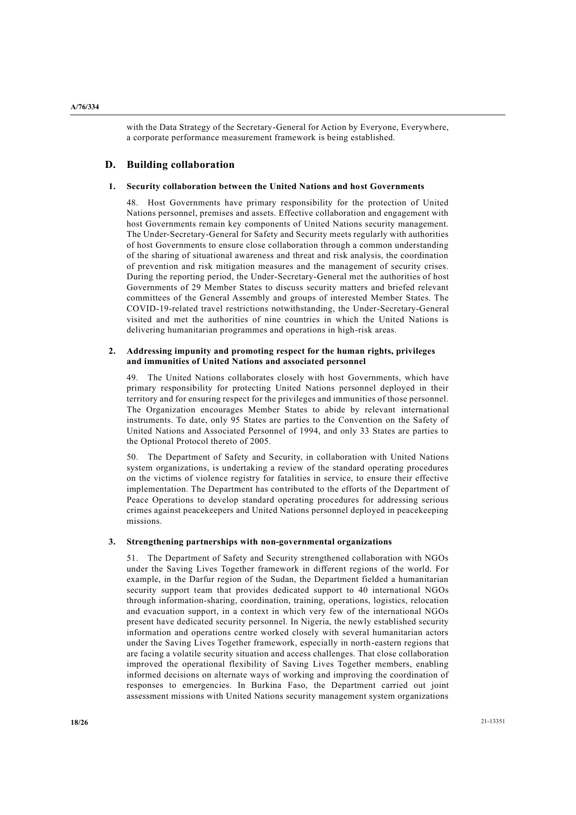with the Data Strategy of the Secretary-General for Action by Everyone, Everywhere, a corporate performance measurement framework is being established.

# **D. Building collaboration**

## **1. Security collaboration between the United Nations and host Governments**

48. Host Governments have primary responsibility for the protection of United Nations personnel, premises and assets. Effective collaboration and engagement with host Governments remain key components of United Nations security management. The Under-Secretary-General for Safety and Security meets regularly with authorities of host Governments to ensure close collaboration through a common understanding of the sharing of situational awareness and threat and risk analysis, the coordination of prevention and risk mitigation measures and the management of security crises. During the reporting period, the Under-Secretary-General met the authorities of host Governments of 29 Member States to discuss security matters and briefed relevant committees of the General Assembly and groups of interested Member States. The COVID-19-related travel restrictions notwithstanding, the Under-Secretary-General visited and met the authorities of nine countries in which the United Nations is delivering humanitarian programmes and operations in high-risk areas.

## **2. Addressing impunity and promoting respect for the human rights, privileges and immunities of United Nations and associated personnel**

49. The United Nations collaborates closely with host Governments, which have primary responsibility for protecting United Nations personnel deployed in their territory and for ensuring respect for the privileges and immunities of those personnel. The Organization encourages Member States to abide by relevant international instruments. To date, only 95 States are parties to the Convention on the Safety of United Nations and Associated Personnel of 1994, and only 33 States are parties to the Optional Protocol thereto of 2005.

50. The Department of Safety and Security, in collaboration with United Nations system organizations, is undertaking a review of the standard operating procedures on the victims of violence registry for fatalities in service, to ensure their effective implementation. The Department has contributed to the efforts of the Department of Peace Operations to develop standard operating procedures for addressing serious crimes against peacekeepers and United Nations personnel deployed in peacekeeping missions.

#### **3. Strengthening partnerships with non-governmental organizations**

51. The Department of Safety and Security strengthened collaboration with NGOs under the Saving Lives Together framework in different regions of the world. For example, in the Darfur region of the Sudan, the Department fielded a humanitarian security support team that provides dedicated support to 40 international NGOs through information-sharing, coordination, training, operations, logistics, relocation and evacuation support, in a context in which very few of the international NGOs present have dedicated security personnel. In Nigeria, the newly established security information and operations centre worked closely with several humanitarian actors under the Saving Lives Together framework, especially in north-eastern regions that are facing a volatile security situation and access challenges. That close collaboration improved the operational flexibility of Saving Lives Together members, enabling informed decisions on alternate ways of working and improving the coordination of responses to emergencies. In Burkina Faso, the Department carried out joint assessment missions with United Nations security management system organizations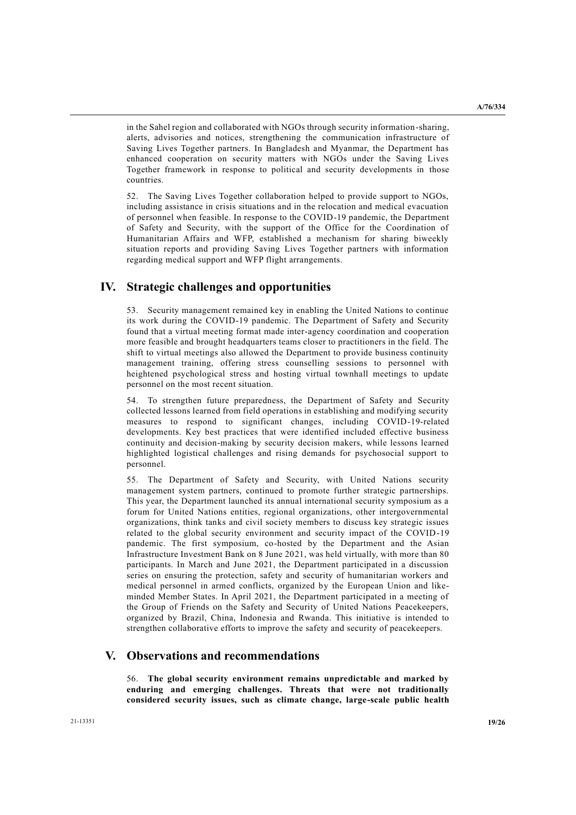in the Sahel region and collaborated with NGOs through security information-sharing, alerts, advisories and notices, strengthening the communication infrastructure of Saving Lives Together partners. In Bangladesh and Myanmar, the Department has enhanced cooperation on security matters with NGOs under the Saving Lives Together framework in response to political and security developments in those countries.

52. The Saving Lives Together collaboration helped to provide support to NGOs, including assistance in crisis situations and in the relocation and medical evacuation of personnel when feasible. In response to the COVID-19 pandemic, the Department of Safety and Security, with the support of the Office for the Coordination of Humanitarian Affairs and WFP, established a mechanism for sharing biweekly situation reports and providing Saving Lives Together partners with information regarding medical support and WFP flight arrangements.

# **IV. Strategic challenges and opportunities**

53. Security management remained key in enabling the United Nations to continue its work during the COVID-19 pandemic. The Department of Safety and Security found that a virtual meeting format made inter-agency coordination and cooperation more feasible and brought headquarters teams closer to practitioners in the field. The shift to virtual meetings also allowed the Department to provide business continuity management training, offering stress counselling sessions to personnel with heightened psychological stress and hosting virtual townhall meetings to update personnel on the most recent situation.

54. To strengthen future preparedness, the Department of Safety and Security collected lessons learned from field operations in establishing and modifying security measures to respond to significant changes, including COVID-19-related developments. Key best practices that were identified included effective business continuity and decision-making by security decision makers, while lessons learned highlighted logistical challenges and rising demands for psychosocial support to personnel.

55. The Department of Safety and Security, with United Nations security management system partners, continued to promote further strategic partnerships. This year, the Department launched its annual international security symposium as a forum for United Nations entities, regional organizations, other intergovernmental organizations, think tanks and civil society members to discuss key strategic issues related to the global security environment and security impact of the COVID-19 pandemic. The first symposium, co-hosted by the Department and the Asian Infrastructure Investment Bank on 8 June 2021, was held virtually, with more than 80 participants. In March and June 2021, the Department participated in a discussion series on ensuring the protection, safety and security of humanitarian workers and medical personnel in armed conflicts, organized by the European Union and likeminded Member States. In April 2021, the Department participated in a meeting of the Group of Friends on the Safety and Security of United Nations Peacekeepers, organized by Brazil, China, Indonesia and Rwanda. This initiative is intended to strengthen collaborative efforts to improve the safety and security of peacekeepers.

# **V. Observations and recommendations**

56. **The global security environment remains unpredictable and marked by enduring and emerging challenges. Threats that were not traditionally considered security issues, such as climate change, large-scale public health**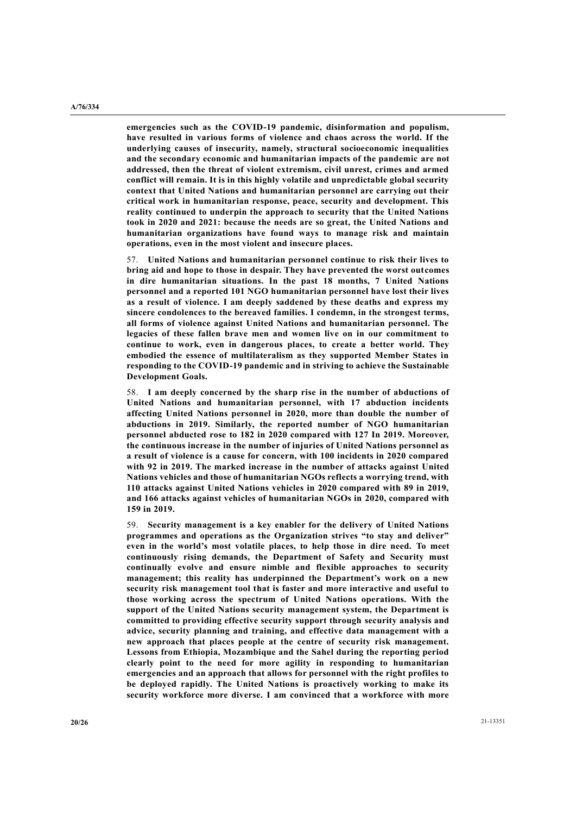**emergencies such as the COVID-19 pandemic, disinformation and populism, have resulted in various forms of violence and chaos across the world. If the underlying causes of insecurity, namely, structural socioeconomic inequalities and the secondary economic and humanitarian impacts of the pandemic are not addressed, then the threat of violent extremism, civil unrest, crimes and armed conflict will remain. It is in this highly volatile and unpredictable global security context that United Nations and humanitarian personnel are carrying out their critical work in humanitarian response, peace, security and development. This reality continued to underpin the approach to security that the United Nations took in 2020 and 2021: because the needs are so great, the United Nations and humanitarian organizations have found ways to manage risk and maintain operations, even in the most violent and insecure places.**

57. **United Nations and humanitarian personnel continue to risk their lives to bring aid and hope to those in despair. They have prevented the worst outcomes in dire humanitarian situations. In the past 18 months, 7 United Nations personnel and a reported 101 NGO humanitarian personnel have lost their lives as a result of violence. I am deeply saddened by these deaths and express my sincere condolences to the bereaved families. I condemn, in the strongest terms, all forms of violence against United Nations and humanitarian personnel. The legacies of these fallen brave men and women live on in our commitment to continue to work, even in dangerous places, to create a better world. They embodied the essence of multilateralism as they supported Member States in responding to the COVID-19 pandemic and in striving to achieve the Sustainable Development Goals.**

58. **I am deeply concerned by the sharp rise in the number of abductions of United Nations and humanitarian personnel, with 17 abduction incidents affecting United Nations personnel in 2020, more than double the number of abductions in 2019. Similarly, the reported number of NGO humanitarian personnel abducted rose to 182 in 2020 compared with 127 In 2019. Moreover, the continuous increase in the number of injuries of United Nations personnel as a result of violence is a cause for concern, with 100 incidents in 2020 compared with 92 in 2019. The marked increase in the number of attacks against United Nations vehicles and those of humanitarian NGOs reflects a worrying trend, with 110 attacks against United Nations vehicles in 2020 compared with 89 in 2019, and 166 attacks against vehicles of humanitarian NGOs in 2020, compared with 159 in 2019.**

59. **Security management is a key enabler for the delivery of United Nations programmes and operations as the Organization strives "to stay and deliver" even in the world's most volatile places, to help those in dire need. To meet continuously rising demands, the Department of Safety and Security must continually evolve and ensure nimble and flexible approaches to security management; this reality has underpinned the Department's work on a new security risk management tool that is faster and more interactive and useful to those working across the spectrum of United Nations operations. With the support of the United Nations security management system, the Department is committed to providing effective security support through security analysis and advice, security planning and training, and effective data management with a new approach that places people at the centre of security risk management. Lessons from Ethiopia, Mozambique and the Sahel during the reporting period clearly point to the need for more agility in responding to humanitarian emergencies and an approach that allows for personnel with the right profiles to be deployed rapidly. The United Nations is proactively working to make its security workforce more diverse. I am convinced that a workforce with more**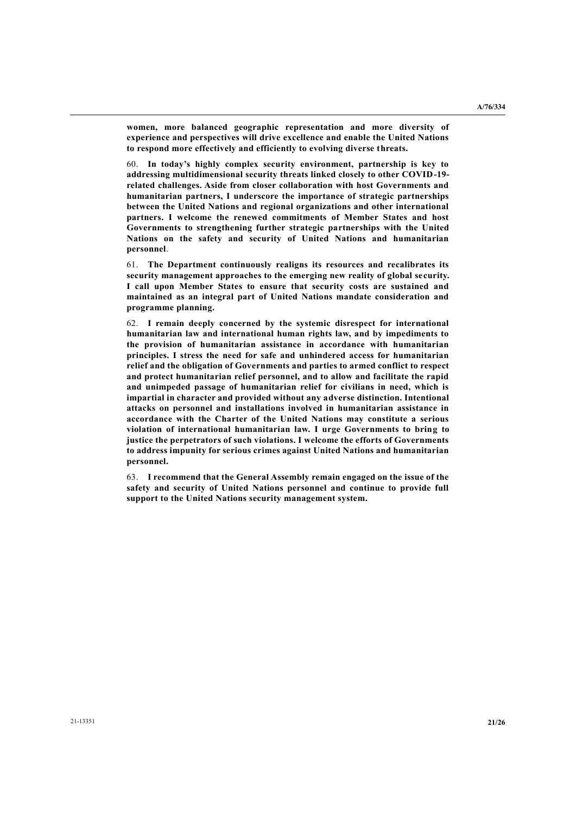**women, more balanced geographic representation and more diversity of experience and perspectives will drive excellence and enable the United Nations to respond more effectively and efficiently to evolving diverse threats.**

60. **In today's highly complex security environment, partnership is key to addressing multidimensional security threats linked closely to other COVID-19 related challenges. Aside from closer collaboration with host Governments and humanitarian partners, I underscore the importance of strategic partnerships between the United Nations and regional organizations and other international partners. I welcome the renewed commitments of Member States and host Governments to strengthening further strategic partnerships with the United Nations on the safety and security of United Nations and humanitarian personnel**.

61. **The Department continuously realigns its resources and recalibrates its security management approaches to the emerging new reality of global security. I call upon Member States to ensure that security costs are sustained and maintained as an integral part of United Nations mandate consideration and programme planning.**

62. **I remain deeply concerned by the systemic disrespect for international humanitarian law and international human rights law, and by impediments to the provision of humanitarian assistance in accordance with humanitarian principles. I stress the need for safe and unhindered access for humanitarian relief and the obligation of Governments and parties to armed conflict to respect and protect humanitarian relief personnel, and to allow and facilitate the rapid and unimpeded passage of humanitarian relief for civilians in need, which is impartial in character and provided without any adverse distinction. Intentional attacks on personnel and installations involved in humanitarian assistance in accordance with the Charter of the United Nations may constitute a serious violation of international humanitarian law. I urge Governments to bring to justice the perpetrators of such violations. I welcome the efforts of Governments to address impunity for serious crimes against United Nations and humanitarian personnel.**

63. **I recommend that the General Assembly remain engaged on the issue of the safety and security of United Nations personnel and continue to provide full support to the United Nations security management system.**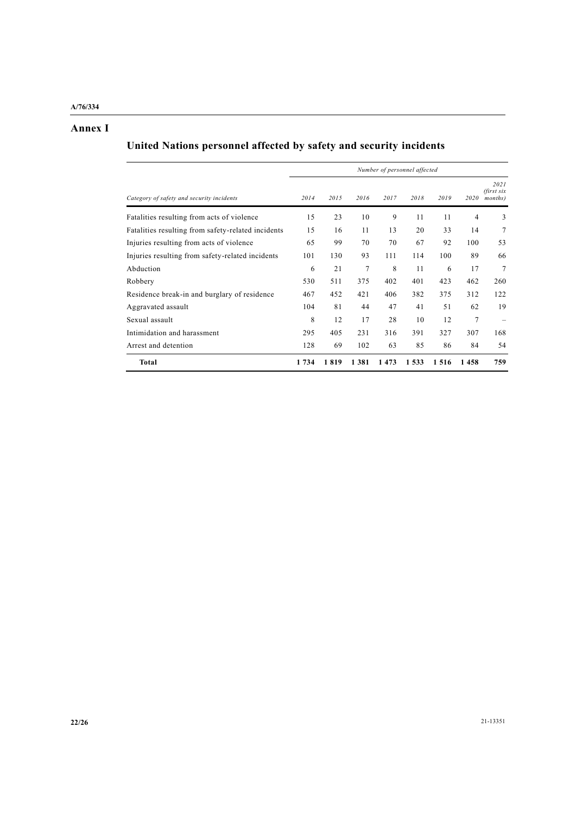# **Annex I**

# **United Nations personnel affected by safety and security incidents**

|                                                    | Number of personnel affected |      |      |      |         |      |                |                               |
|----------------------------------------------------|------------------------------|------|------|------|---------|------|----------------|-------------------------------|
| Category of safety and security incidents          | 2014                         | 2015 | 2016 | 2017 | 2018    | 2019 | 2020           | 2021<br>(first six<br>months) |
| Fatalities resulting from acts of violence         | 15                           | 23   | 10   | 9    | 11      | 11   | $\overline{4}$ | 3                             |
| Fatalities resulting from safety-related incidents | 15                           | 16   | 11   | 13   | 20      | 33   | 14             | 7                             |
| Injuries resulting from acts of violence           | 65                           | 99   | 70   | 70   | 67      | 92   | 100            | 53                            |
| Injuries resulting from safety-related incidents   | 101                          | 130  | 93   | 111  | 114     | 100  | 89             | 66                            |
| Abduction                                          | 6                            | 21   | 7    | 8    | 11      | 6    | 17             | 7                             |
| Robbery                                            | 530                          | 511  | 375  | 402  | 401     | 423  | 462            | 260                           |
| Residence break-in and burglary of residence       | 467                          | 452  | 421  | 406  | 382     | 375  | 312            | 122                           |
| Aggravated assault                                 | 104                          | 81   | 44   | 47   | 41      | 51   | 62             | 19                            |
| Sexual assault                                     | 8                            | 12   | 17   | 28   | 10      | 12   | 7              |                               |
| Intimidation and harassment                        | 295                          | 405  | 231  | 316  | 391     | 327  | 307            | 168                           |
| Arrest and detention                               | 128                          | 69   | 102  | 63   | 85      | 86   | 84             | 54                            |
| Total                                              | 1 734                        | 1819 | 1381 | 1473 | 1 5 3 3 | 1516 | 1458           | 759                           |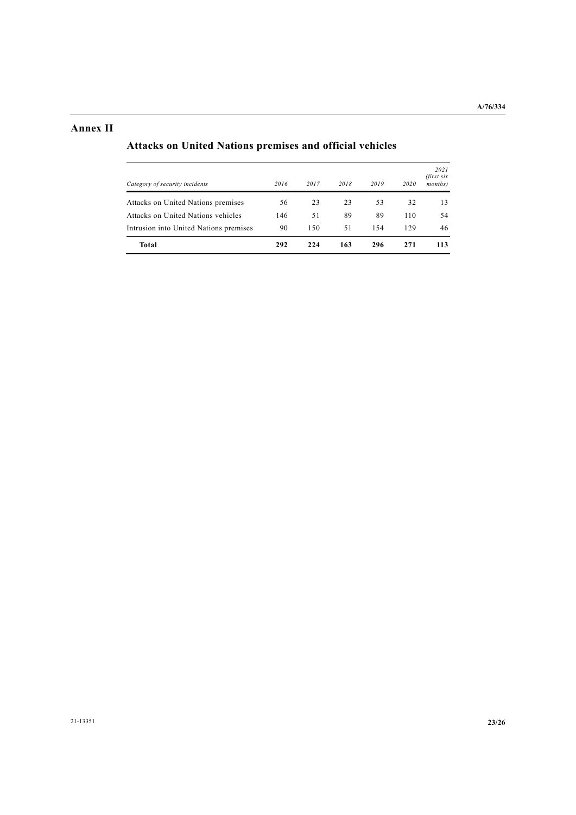# **Annex II**

# **Attacks on United Nations premises and official vehicles**

| Total                                  | 292  | 224  | 163  | 296  | 271  | 113                           |
|----------------------------------------|------|------|------|------|------|-------------------------------|
| Intrusion into United Nations premises | 90   | 150  | 51   | 154  | 129  | 46                            |
| Attacks on United Nations vehicles     | 146  | 51   | 89   | 89   | 110  | 54                            |
| Attacks on United Nations premises     | 56   | 23   | 23   | 53   | 32   | 13                            |
| Category of security incidents         | 2016 | 2017 | 2018 | 2019 | 2020 | 2021<br>(first six<br>months) |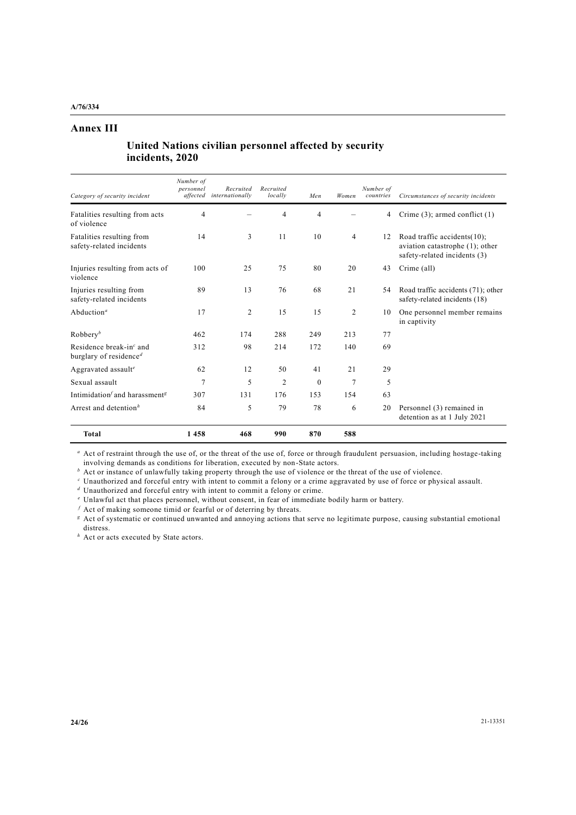# **Annex III**

# **United Nations civilian personnel affected by security incidents, 2020**

| Category of security incident                                           | Number of<br>personnel<br>affected | Recruited<br>internationally | Recruited<br>locally | Men                      | Women          | Number of<br>countries | Circumstances of security incidents                                                            |
|-------------------------------------------------------------------------|------------------------------------|------------------------------|----------------------|--------------------------|----------------|------------------------|------------------------------------------------------------------------------------------------|
| Fatalities resulting from acts<br>of violence                           | $\overline{\mathcal{A}}$           |                              | 4                    | $\overline{\mathcal{A}}$ |                | 4                      | Crime $(3)$ ; armed conflict $(1)$                                                             |
| Fatalities resulting from<br>safety-related incidents                   | 14                                 | 3                            | 11                   | 10                       | $\overline{4}$ | 12                     | Road traffic accidents(10);<br>aviation catastrophe (1); other<br>safety-related incidents (3) |
| Injuries resulting from acts of<br>violence                             | 100                                | 25                           | 75                   | 80                       | 20             | 43                     | Crime (all)                                                                                    |
| Injuries resulting from<br>safety-related incidents                     | 89                                 | 13                           | 76                   | 68                       | 21             | 54                     | Road traffic accidents (71); other<br>safety-related incidents (18)                            |
| Abduction <sup><math>a</math></sup>                                     | 17                                 | 2                            | 15                   | 15                       | $\overline{2}$ | 10                     | One personnel member remains<br>in captivity                                                   |
| Robbery <sup>b</sup>                                                    | 462                                | 174                          | 288                  | 249                      | 213            | 77                     |                                                                                                |
| Residence break-in $\epsilon$ and<br>burglary of residence <sup>d</sup> | 312                                | 98                           | 214                  | 172                      | 140            | 69                     |                                                                                                |
| Aggravated assault <sup>e</sup>                                         | 62                                 | 12                           | 50                   | 41                       | 21             | 29                     |                                                                                                |
| Sexual assault                                                          | 7                                  | 5                            | $\overline{2}$       | $\mathbf{0}$             | 7              | 5                      |                                                                                                |
| Intimidation and harassment <sup>g</sup>                                | 307                                | 131                          | 176                  | 153                      | 154            | 63                     |                                                                                                |
| Arrest and detention <sup>h</sup>                                       | 84                                 | 5                            | 79                   | 78                       | 6              | 20                     | Personnel (3) remained in<br>detention as at 1 July 2021                                       |
| <b>Total</b>                                                            | 1458                               | 468                          | 990                  | 870                      | 588            |                        |                                                                                                |

*a* Act of restraint through the use of, or the threat of the use of, force or through fraudulent persuasion, including hostage-taking involving demands as conditions for liberation, executed by non-State actors.

*b* Act or instance of unlawfully taking property through the use of violence or the threat of the use of violence.

*<sup>c</sup>* Unauthorized and forceful entry with intent to commit a felony or a crime aggravated by use of force or physical assault.

*<sup>d</sup>* Unauthorized and forceful entry with intent to commit a felony or crime.

*<sup>e</sup>* Unlawful act that places personnel, without consent, in fear of immediate bodily harm or battery.

*<sup>f</sup>* Act of making someone timid or fearful or of deterring by threats.

*<sup>g</sup>* Act of systematic or continued unwanted and annoying actions that serve no legitimate purpose, causing substantial emotional distress.

*h* Act or acts executed by State actors.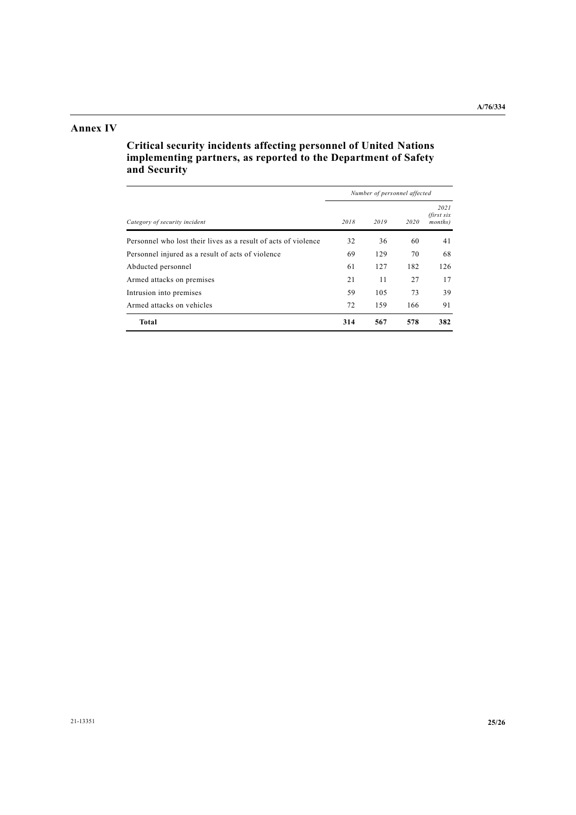# **Annex IV**

**Critical security incidents affecting personnel of United Nations implementing partners, as reported to the Department of Safety and Security**

|                                                                | Number of personnel affected |      |      |                               |  |  |
|----------------------------------------------------------------|------------------------------|------|------|-------------------------------|--|--|
| Category of security incident                                  | 2018                         | 2019 | 2020 | 2021<br>(first six<br>months) |  |  |
| Personnel who lost their lives as a result of acts of violence | 32                           | 36   | 60   | 41                            |  |  |
| Personnel injured as a result of acts of violence              | 69                           | 129  | 70   | 68                            |  |  |
| Abducted personnel                                             | 61                           | 127  | 182  | 126                           |  |  |
| Armed attacks on premises                                      | 21                           | 11   | 27   | 17                            |  |  |
| Intrusion into premises                                        | 59                           | 105  | 73   | 39                            |  |  |
| Armed attacks on vehicles                                      | 72                           | 159  | 166  | 91                            |  |  |
| Total                                                          | 314                          | 567  | 578  | 382                           |  |  |